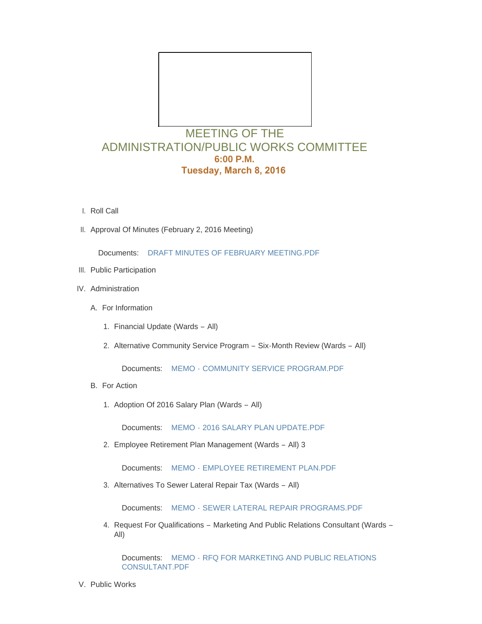

- l. Roll Call
- II. Approval Of Minutes (February 2, 2016 Meeting)

Documents: [DRAFT MINUTES OF FEBRUARY MEETING.PDF](http://mo-wildwood.civicplus.com/AgendaCenter/ViewFile/Item/6259?fileID=10165)

- III. Public Participation
- IV. Administration
	- A. For Information
		- 1. Financial Update (Wards All)
		- 2. Alternative Community Service Program Six-Month Review (Wards All)

Documents: MEMO - [COMMUNITY SERVICE PROGRAM.PDF](http://mo-wildwood.civicplus.com/AgendaCenter/ViewFile/Item/6264?fileID=10166)

- B. For Action
	- 1. Adoption Of 2016 Salary Plan (Wards All)

Documents: MEMO - [2016 SALARY PLAN UPDATE.PDF](http://mo-wildwood.civicplus.com/AgendaCenter/ViewFile/Item/6266?fileID=10167)

Employee Retirement Plan Management (Wards – All) 3 2.

Documents: MEMO - [EMPLOYEE RETIREMENT PLAN.PDF](http://mo-wildwood.civicplus.com/AgendaCenter/ViewFile/Item/6267?fileID=10168)

Alternatives To Sewer Lateral Repair Tax (Wards – All) 3.

Documents: MEMO - [SEWER LATERAL REPAIR PROGRAMS.PDF](http://mo-wildwood.civicplus.com/AgendaCenter/ViewFile/Item/6268?fileID=10169)

4. Request For Qualifications - Marketing And Public Relations Consultant (Wards -All)

Documents: MEMO - RFQ FOR MARKETING AND PUBLIC RELATIONS CONSULTANT.PDF

V. Public Works